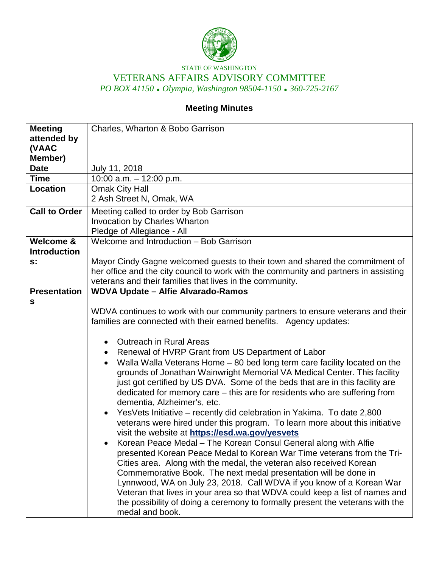

## STATE OF WASHINGTON VETERANS AFFAIRS ADVISORY COMMITTEE *PO BOX 41150 Olympia, Washington 98504-1150 360-725-2167*

# **Meeting Minutes**

| <b>Meeting</b>       | Charles, Wharton & Bobo Garrison                                                     |
|----------------------|--------------------------------------------------------------------------------------|
| attended by          |                                                                                      |
| (VAAC                |                                                                                      |
| Member)              |                                                                                      |
| <b>Date</b>          | July 11, 2018                                                                        |
| <b>Time</b>          | 10:00 a.m. $-$ 12:00 p.m.                                                            |
| <b>Location</b>      | <b>Omak City Hall</b>                                                                |
|                      | 2 Ash Street N, Omak, WA                                                             |
| <b>Call to Order</b> | Meeting called to order by Bob Garrison                                              |
|                      | <b>Invocation by Charles Wharton</b>                                                 |
|                      | Pledge of Allegiance - All                                                           |
| <b>Welcome &amp;</b> | Welcome and Introduction - Bob Garrison                                              |
| <b>Introduction</b>  |                                                                                      |
| $s$ :                | Mayor Cindy Gagne welcomed guests to their town and shared the commitment of         |
|                      | her office and the city council to work with the community and partners in assisting |
|                      | veterans and their families that lives in the community.                             |
| <b>Presentation</b>  | <b>WDVA Update - Alfie Alvarado-Ramos</b>                                            |
| S                    |                                                                                      |
|                      | WDVA continues to work with our community partners to ensure veterans and their      |
|                      | families are connected with their earned benefits. Agency updates:                   |
|                      |                                                                                      |
|                      | <b>Outreach in Rural Areas</b><br>$\bullet$                                          |
|                      | Renewal of HVRP Grant from US Department of Labor<br>$\bullet$                       |
|                      | Walla Walla Veterans Home - 80 bed long term care facility located on the            |
|                      | grounds of Jonathan Wainwright Memorial VA Medical Center. This facility             |
|                      | just got certified by US DVA. Some of the beds that are in this facility are         |
|                      | dedicated for memory care – this are for residents who are suffering from            |
|                      | dementia, Alzheimer's, etc.                                                          |
|                      | YesVets Initiative – recently did celebration in Yakima. To date 2,800<br>$\bullet$  |
|                      | veterans were hired under this program. To learn more about this initiative          |
|                      | visit the website at https://esd.wa.gov/yesvets                                      |
|                      | Korean Peace Medal - The Korean Consul General along with Alfie                      |
|                      | presented Korean Peace Medal to Korean War Time veterans from the Tri-               |
|                      | Cities area. Along with the medal, the veteran also received Korean                  |
|                      | Commemorative Book. The next medal presentation will be done in                      |
|                      | Lynnwood, WA on July 23, 2018. Call WDVA if you know of a Korean War                 |
|                      | Veteran that lives in your area so that WDVA could keep a list of names and          |
|                      | the possibility of doing a ceremony to formally present the veterans with the        |
|                      | medal and book.                                                                      |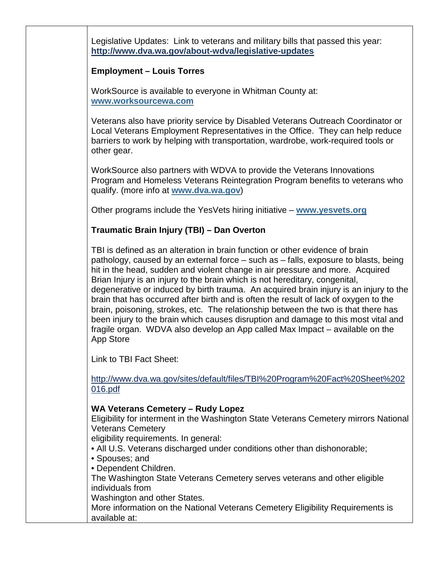Legislative Updates: Link to veterans and military bills that passed this year: **http://www.dva.wa.gov/about-wdva/legislative-updates**

### **Employment – Louis Torres**

WorkSource is available to everyone in Whitman County at: **[www.worksourcewa.com](http://www.worksourcewa.com/)**

Veterans also have priority service by Disabled Veterans Outreach Coordinator or Local Veterans Employment Representatives in the Office. They can help reduce barriers to work by helping with transportation, wardrobe, work-required tools or other gear.

WorkSource also partners with WDVA to provide the Veterans Innovations Program and Homeless Veterans Reintegration Program benefits to veterans who qualify. (more info at **[www.dva.wa.gov](http://www.dva.wa.gov/)**)

Other programs include the YesVets hiring initiative – **[www.yesvets.org](http://www.yesvets.org/)**

## **Traumatic Brain Injury (TBI) – Dan Overton**

TBI is defined as an alteration in brain function or other evidence of brain pathology, caused by an external force – such as – falls, exposure to blasts, being hit in the head, sudden and violent change in air pressure and more. Acquired Brian Injury is an injury to the brain which is not hereditary, congenital, degenerative or induced by birth trauma. An acquired brain injury is an injury to the brain that has occurred after birth and is often the result of lack of oxygen to the brain, poisoning, strokes, etc. The relationship between the two is that there has been injury to the brain which causes disruption and damage to this most vital and fragile organ. WDVA also develop an App called Max Impact – available on the App Store

Link to TBI Fact Sheet:

http://www.dva.wa.gov/sites/default/files/TBI%20Program%20Fact%20Sheet%202 016.pdf

#### **WA Veterans Cemetery – Rudy Lopez**

Eligibility for interment in the Washington State Veterans Cemetery mirrors National Veterans Cemetery

eligibility requirements. In general:

- All U.S. Veterans discharged under conditions other than dishonorable;
- Spouses; and
- Dependent Children.

The Washington State Veterans Cemetery serves veterans and other eligible individuals from

Washington and other States.

More information on the National Veterans Cemetery Eligibility Requirements is available at: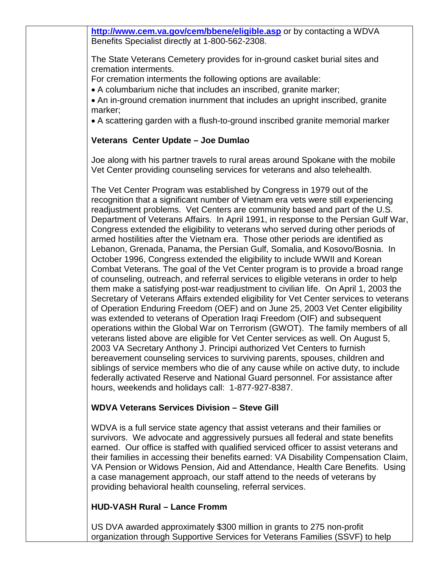**http://www.cem.va.gov/cem/bbene/eligible.asp** or by contacting a WDVA Benefits Specialist directly at 1-800-562-2308.

The State Veterans Cemetery provides for in-ground casket burial sites and cremation interments.

For cremation interments the following options are available:

• A columbarium niche that includes an inscribed, granite marker;

• An in-ground cremation inurnment that includes an upright inscribed, granite marker;

• A scattering garden with a flush-to-ground inscribed granite memorial marker

## **Veterans Center Update – Joe Dumlao**

Joe along with his partner travels to rural areas around Spokane with the mobile Vet Center providing counseling services for veterans and also telehealth.

The Vet Center Program was established by Congress in 1979 out of the recognition that a significant number of Vietnam era vets were still experiencing readjustment problems. Vet Centers are community based and part of the U.S. Department of Veterans Affairs. In April 1991, in response to the Persian Gulf War, Congress extended the eligibility to veterans who served during other periods of armed hostilities after the Vietnam era. Those other periods are identified as Lebanon, Grenada, Panama, the Persian Gulf, Somalia, and Kosovo/Bosnia. In October 1996, Congress extended the eligibility to include WWII and Korean Combat Veterans. The goal of the Vet Center program is to provide a broad range of counseling, outreach, and referral services to eligible veterans in order to help them make a satisfying post-war readjustment to civilian life. On April 1, 2003 the Secretary of Veterans Affairs extended eligibility for Vet Center services to veterans of Operation Enduring Freedom (OEF) and on June 25, 2003 Vet Center eligibility was extended to veterans of Operation Iraqi Freedom (OIF) and subsequent operations within the Global War on Terrorism (GWOT). The family members of all veterans listed above are eligible for Vet Center services as well. On August 5, 2003 VA Secretary Anthony J. Principi authorized Vet Centers to furnish bereavement counseling services to surviving parents, spouses, children and siblings of service members who die of any cause while on active duty, to include federally activated Reserve and National Guard personnel. For assistance after hours, weekends and holidays call: 1-877-927-8387.

# **WDVA Veterans Services Division – Steve Gill**

WDVA is a full service state agency that assist veterans and their families or survivors. We advocate and aggressively pursues all federal and state benefits earned. Our office is staffed with qualified serviced officer to assist veterans and their families in accessing their benefits earned: VA Disability Compensation Claim, VA Pension or Widows Pension, Aid and Attendance, Health Care Benefits. Using a case management approach, our staff attend to the needs of veterans by providing behavioral health counseling, referral services.

# **HUD-VASH Rural – Lance Fromm**

US DVA awarded approximately \$300 million in grants to 275 non-profit organization through Supportive Services for Veterans Families (SSVF) to help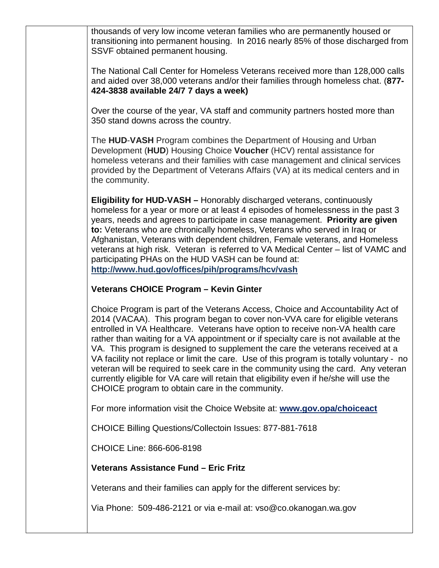thousands of very low income veteran families who are permanently housed or transitioning into permanent housing. In 2016 nearly 85% of those discharged from SSVF obtained permanent housing.

The National Call Center for Homeless Veterans received more than 128,000 calls and aided over 38,000 veterans and/or their families through homeless chat. (**877- 424-3838 available 24/7 7 days a week)**

Over the course of the year, VA staff and community partners hosted more than 350 stand downs across the country.

The **HUD**-**VASH** Program combines the Department of Housing and Urban Development (**HUD**) Housing Choice **Voucher** (HCV) rental assistance for homeless veterans and their families with case management and clinical services provided by the Department of Veterans Affairs (VA) at its medical centers and in the community.

**Eligibility for HUD-VASH –** Honorably discharged veterans, continuously homeless for a year or more or at least 4 episodes of homelessness in the past 3 years, needs and agrees to participate in case management. **Priority are given to:** Veterans who are chronically homeless, Veterans who served in Iraq or Afghanistan, Veterans with dependent children, Female veterans, and Homeless veterans at high risk. Veteran is referred to VA Medical Center – list of VAMC and participating PHAs on the HUD VASH can be found at: **http://www.hud.gov/offices/pih/programs/hcv/vash**

#### **Veterans CHOICE Program – Kevin Ginter**

Choice Program is part of the Veterans Access, Choice and Accountability Act of 2014 (VACAA). This program began to cover non-VVA care for eligible veterans entrolled in VA Healthcare. Veterans have option to receive non-VA health care rather than waiting for a VA appointment or if specialty care is not available at the VA. This program is designed to supplement the care the veterans received at a VA facility not replace or limit the care. Use of this program is totally voluntary - no veteran will be required to seek care in the community using the card. Any veteran currently eligible for VA care will retain that eligibility even if he/she will use the CHOICE program to obtain care in the community.

For more information visit the Choice Website at: **www.gov.opa/choiceact**

CHOICE Billing Questions/Collectoin Issues: 877-881-7618

CHOICE Line: 866-606-8198

#### **Veterans Assistance Fund – Eric Fritz**

Veterans and their families can apply for the different services by:

Via Phone: 509-486-2121 or via e-mail at: vso@co.okanogan.wa.gov